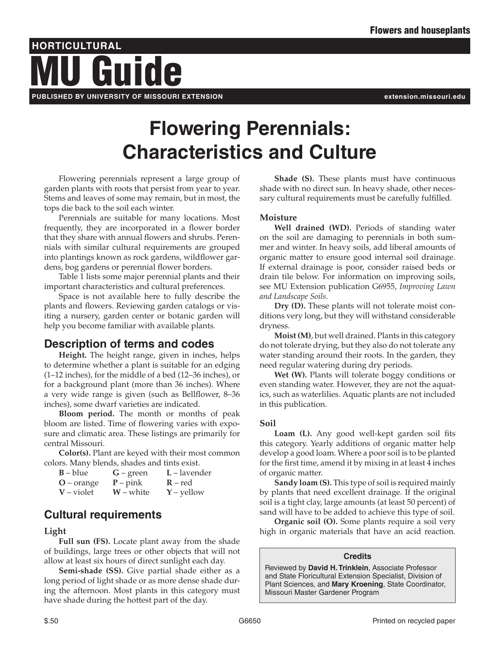# **HORTICULTURAL PUBLISHED BY UNIVERSITY OF MISSOURI EXTENSION extension.missouri.edu** Guide

# **Flowering Perennials: Characteristics and Culture**

Flowering perennials represent a large group of garden plants with roots that persist from year to year. Stems and leaves of some may remain, but in most, the tops die back to the soil each winter.

Perennials are suitable for many locations. Most frequently, they are incorporated in a flower border that they share with annual flowers and shrubs. Perennials with similar cultural requirements are grouped into plantings known as rock gardens, wildflower gardens, bog gardens or perennial flower borders.

Table 1 lists some major perennial plants and their important characteristics and cultural preferences.

Space is not available here to fully describe the plants and flowers. Reviewing garden catalogs or visiting a nursery, garden center or botanic garden will help you become familiar with available plants.

## **Description of terms and codes**

**Height.** The height range, given in inches, helps to determine whether a plant is suitable for an edging (1–12 inches), for the middle of a bed (12–36 inches), or for a background plant (more than 36 inches). Where a very wide range is given (such as Bellflower, 8–36 inches), some dwarf varieties are indicated.

**Bloom period.** The month or months of peak bloom are listed. Time of flowering varies with exposure and climatic area. These listings are primarily for central Missouri.

**Color(s).** Plant are keyed with their most common colors. Many blends, shades and tints exist.

| $B - blue$   | $G$ – green | $L$ – lavender |
|--------------|-------------|----------------|
| $O$ – orange | $P$ – pink  | $R - red$      |
| $V$ – violet | $W$ – white | $Y$ – yellow   |

## **Cultural requirements**

#### **Light**

**Full sun (FS).** Locate plant away from the shade of buildings, large trees or other objects that will not allow at least six hours of direct sunlight each day.

**Semi-shade (SS).** Give partial shade either as a long period of light shade or as more dense shade during the afternoon. Most plants in this category must have shade during the hottest part of the day.

**Shade (S).** These plants must have continuous shade with no direct sun. In heavy shade, other necessary cultural requirements must be carefully fulfilled.

### **Moisture**

**Well drained (WD).** Periods of standing water on the soil are damaging to perennials in both summer and winter. In heavy soils, add liberal amounts of organic matter to ensure good internal soil drainage. If external drainage is poor, consider raised beds or drain tile below. For information on improving soils, see MU Extension publication G6955, *Improving Lawn and Landscape Soils*.

**Dry (D).** These plants will not tolerate moist conditions very long, but they will withstand considerable dryness.

**Moist (M)**, but well drained. Plants in this category do not tolerate drying, but they also do not tolerate any water standing around their roots. In the garden, they need regular watering during dry periods.

**Wet (W).** Plants will tolerate boggy conditions or even standing water. However, they are not the aquatics, such as waterlilies. Aquatic plants are not included in this publication.

### **Soil**

**Loam (L).** Any good well-kept garden soil fits this category. Yearly additions of organic matter help develop a good loam. Where a poor soil is to be planted for the first time, amend it by mixing in at least 4 inches of organic matter.

**Sandy loam (S).** This type of soil is required mainly by plants that need excellent drainage. If the original soil is a tight clay, large amounts (at least 50 percent) of sand will have to be added to achieve this type of soil.

**Organic soil (O).** Some plants require a soil very high in organic materials that have an acid reaction.

#### **Credits**

Reviewed by **David H. Trinklein**, Associate Professor and State Floricultural Extension Specialist, Division of Plant Sciences, and **Mary Kroening**, State Coordinator, Missouri Master Gardener Program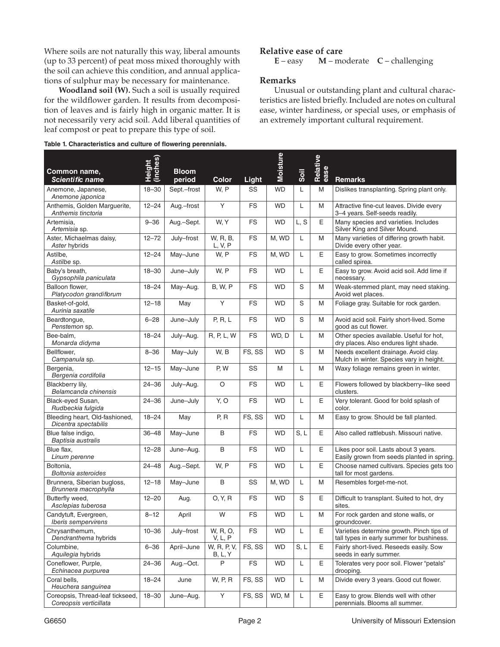Where soils are not naturally this way, liberal amounts (up to 33 percent) of peat moss mixed thoroughly with the soil can achieve this condition, and annual applications of sulphur may be necessary for maintenance.

**Woodland soil (W).** Such a soil is usually required for the wildflower garden. It results from decomposition of leaves and is fairly high in organic matter. It is not necessarily very acid soil. Add liberal quantities of leaf compost or peat to prepare this type of soil.

**Table 1. Characteristics and culture of flowering perennials.**

#### **Relative ease of care**

**E** – easy **M** – moderate **C** – challenging

#### **Remarks**

Unusual or outstanding plant and cultural characteristics are listed briefly. Included are notes on cultural ease, winter hardiness, or special uses, or emphasis of an extremely important cultural requirement.

| Common name,<br><b>Scientific name</b>                     | Height<br>(inches) | <b>Bloom</b><br>period | Color                  | Light     | <b>Moisture</b> |      | Relative<br>ease | <b>Remarks</b>                                                                         |
|------------------------------------------------------------|--------------------|------------------------|------------------------|-----------|-----------------|------|------------------|----------------------------------------------------------------------------------------|
| Anemone, Japanese,<br>Anemone japonica                     | $18 - 30$          | Sept.-frost            | W, P                   | SS        | <b>WD</b>       | L    | M                | Dislikes transplanting. Spring plant only.                                             |
| Anthemis, Golden Marguerite,<br>Anthemis tinctoria         | $12 - 24$          | Aug.-frost             | Y                      | <b>FS</b> | <b>WD</b>       | L    | M                | Attractive fine-cut leaves. Divide every<br>3-4 years. Self-seeds readily.             |
| Artemisia,<br>Artemisia sp.                                | $9 - 36$           | Aug.-Sept.             | W, Y                   | <b>FS</b> | <b>WD</b>       | L, S | Е                | Many species and varieties. Includes<br>Silver King and Silver Mound.                  |
| Aster, Michaelmas daisy,<br>Aster hybrids                  | $12 - 72$          | July-frost             | W, R, B,<br>L, V, P    | <b>FS</b> | M, WD           | L    | M                | Many varieties of differing growth habit.<br>Divide every other year.                  |
| Astilbe,<br>Astilbe sp.                                    | $12 - 24$          | May-June               | W, P                   | <b>FS</b> | M, WD           | L    | Е                | Easy to grow. Sometimes incorrectly<br>called spirea.                                  |
| Baby's breath,<br>Gypsophila paniculata                    | $18 - 30$          | June-July              | W, P                   | <b>FS</b> | <b>WD</b>       | L    | Е                | Easy to grow. Avoid acid soil. Add lime if<br>necessary.                               |
| Balloon flower.<br>Platycodon grandiflorum                 | $18 - 24$          | May-Aug.               | <b>B, W, P</b>         | <b>FS</b> | <b>WD</b>       | S    | M                | Weak-stemmed plant, may need staking.<br>Avoid wet places.                             |
| Basket-of-gold,<br>Aurinia saxatile                        | $12 - 18$          | May                    | Y                      | <b>FS</b> | <b>WD</b>       | S    | M                | Foliage gray. Suitable for rock garden.                                                |
| Beardtongue,<br>Penstemon sp.                              | $6 - 28$           | June-July              | P, R, L                | <b>FS</b> | <b>WD</b>       | S    | M                | Avoid acid soil. Fairly short-lived. Some<br>good as cut flower.                       |
| Bee-balm.<br>Monarda didyma                                | $18 - 24$          | July-Aug.              | R, P, L, W             | <b>FS</b> | WD, D           | L    | M                | Other species available. Useful for hot,<br>dry places. Also endures light shade.      |
| Bellflower,<br>Campanula sp.                               | $8 - 36$           | May-July               | W, B                   | FS, SS    | <b>WD</b>       | S    | M                | Needs excellent drainage. Avoid clay.<br>Mulch in winter. Species vary in height.      |
| Bergenia,<br>Bergenia cordifolia                           | $12 - 15$          | May-June               | P, W                   | SS        | M               | L    | M                | Waxy foliage remains green in winter.                                                  |
| Blackberry lilv.<br>Belamcanda chinensis                   | $24 - 36$          | July-Aug.              | $\circ$                | <b>FS</b> | <b>WD</b>       | L    | Е                | Flowers followed by blackberry-like seed<br>clusters.                                  |
| Black-eyed Susan,<br>Rudbeckia fulgida                     | $24 - 36$          | June-July              | Y, O                   | <b>FS</b> | <b>WD</b>       | L    | E                | Very tolerant. Good for bold splash of<br>color.                                       |
| Bleeding heart, Old-fashioned,<br>Dicentra spectabilis     | $18 - 24$          | May                    | P, R                   | FS, SS    | <b>WD</b>       | L    | M                | Easy to grow. Should be fall planted.                                                  |
| Blue false indigo,<br>Baptisia australis                   | $36 - 48$          | May-June               | B                      | <b>FS</b> | <b>WD</b>       | S, L | Е                | Also called rattlebush. Missouri native.                                               |
| Blue flax.<br>Linum perenne                                | $12 - 28$          | June-Aug.              | B                      | <b>FS</b> | <b>WD</b>       | L    | Е                | Likes poor soil. Lasts about 3 years.<br>Easily grown from seeds planted in spring.    |
| Boltonia,<br>Boltonia asteroides                           | $24 - 48$          | Aug.-Sept.             | W, P                   | <b>FS</b> | <b>WD</b>       | L    | E                | Choose named cultivars. Species gets too<br>tall for most gardens.                     |
| Brunnera, Siberian bugloss,<br>Brunnera macrophylla        | $12 - 18$          | May-June               | B                      | SS        | M, WD           | L    | M                | Resembles forget-me-not.                                                               |
| Butterfly weed.<br>Asclepias tuberosa                      | $12 - 20$          | Aug.                   | 0, Y, R                | <b>FS</b> | <b>WD</b>       | S    | E                | Difficult to transplant. Suited to hot, dry<br>sites.                                  |
| Candytuft, Evergreen,<br><i><b>Iberis sempervirens</b></i> | $8 - 12$           | April                  | W                      | <b>FS</b> | <b>WD</b>       | L    | M                | For rock garden and stone walls, or<br>groundcover.                                    |
| Chrysanthemum,<br>Dendranthema hybrids                     | $10 - 36$          | July-frost             | W, R, O,<br>V, L, P    | <b>FS</b> | <b>WD</b>       | L    | Е                | Varieties determine growth. Pinch tips of<br>tall types in early summer for bushiness. |
| Columbine,<br>Aquilegia hybrids                            | $6 - 36$           | April-June             | W, R, P, V,<br>B, L, Y | FS, SS    | <b>WD</b>       | S, L | E                | Fairly short-lived. Reseeds easily. Sow<br>seeds in early summer.                      |
| Coneflower, Purple,<br>Echinacea purpurea                  | $24 - 36$          | Aug.-Oct.              | P                      | FS        | <b>WD</b>       | L    | Е                | Tolerates very poor soil. Flower "petals"<br>drooping.                                 |
| Coral bells.<br>Heuchera sanguinea                         | $18 - 24$          | June                   | W, P, R                | FS, SS    | <b>WD</b>       | L    | M                | Divide every 3 years. Good cut flower.                                                 |
| Coreopsis, Thread-leaf tickseed,<br>Coreopsis verticillata | $18 - 30$          | June-Aug.              | Υ                      | FS, SS    | WD, M           | L    | Е                | Easy to grow. Blends well with other<br>perennials. Blooms all summer.                 |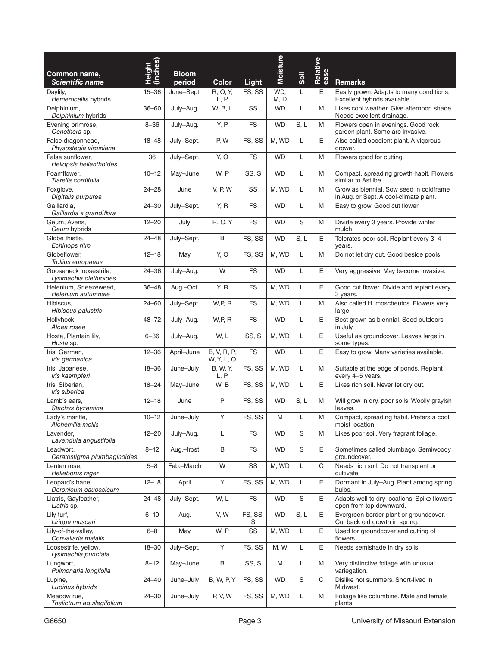| Common name,<br><b>Scientific name</b>           | Height<br>(inches) | <b>Bloom</b><br>period | <b>Color</b>              | Light        | <b>Moisture</b> | Soil | Relative<br>ease | <b>Remarks</b>                                                                    |
|--------------------------------------------------|--------------------|------------------------|---------------------------|--------------|-----------------|------|------------------|-----------------------------------------------------------------------------------|
| Daylily,<br>Hemerocallis hybrids                 | $15 - 36$          | June-Sept.             | R, O, Y,<br>L, P          | FS, SS       | WD.<br>M, D     | L    | E                | Easily grown. Adapts to many conditions.<br>Excellent hybrids available.          |
| Delphinium,<br>Delphinium hybrids                | $36 - 60$          | July-Aug.              | W, B, L                   | SS           | WD              | L    | M                | Likes cool weather. Give afternoon shade.<br>Needs excellent drainage.            |
| Evening primrose,<br>Oenothera sp.               | $8 - 36$           | July-Aug.              | Y, P                      | <b>FS</b>    | <b>WD</b>       | S, L | M                | Flowers open in evenings. Good rock<br>garden plant. Some are invasive.           |
| False dragonhead,<br>Physostegia virginiana      | $18 - 48$          | July-Sept.             | P, W                      | FS, SS       | M, WD           | L    | E                | Also called obedient plant. A vigorous<br>grower.                                 |
| False sunflower,<br>Heliopsis helianthoides      | 36                 | July-Sept.             | Y, O                      | <b>FS</b>    | <b>WD</b>       | L    | M                | Flowers good for cutting.                                                         |
| Foamflower.<br>Tiarella cordifolia               | $10 - 12$          | May-June               | W, P                      | SS, S        | <b>WD</b>       | L    | M                | Compact, spreading growth habit. Flowers<br>similar to Astilbe.                   |
| Foxglove,<br>Digitalis purpurea                  | $24 - 28$          | June                   | <b>V, P, W</b>            | SS           | M, WD           | L    | M                | Grow as biennial. Sow seed in coldframe<br>in Aug. or Sept. A cool-climate plant. |
| Gaillardia,<br>Gaillardia x grandiflora          | $24 - 30$          | July-Sept.             | Y, R                      | <b>FS</b>    | <b>WD</b>       | L    | M                | Easy to grow. Good cut flower.                                                    |
| Geum, Avens,<br>Geum hybrids                     | $12 - 20$          | July                   | <b>R, O, Y</b>            | <b>FS</b>    | <b>WD</b>       | S    | M                | Divide every 3 years. Provide winter<br>mulch.                                    |
| Globe thistle,<br>Echinops ritro                 | $24 - 48$          | July-Sept.             | B                         | FS, SS       | <b>WD</b>       | S, L | E                | Tolerates poor soil. Replant every 3-4<br>years.                                  |
| Globeflower,<br>Trollius europaeus               | $12 - 18$          | May                    | Y, O                      | FS, SS       | M, WD           | L    | M                | Do not let dry out. Good beside pools.                                            |
| Gooseneck loosestrife.<br>Lysimachia clethroides | $24 - 36$          | July-Aug.              | W                         | FS           | <b>WD</b>       | L    | Ε                | Very aggressive. May become invasive.                                             |
| Helenium, Sneezeweed,<br>Helenium autumnale      | $36 - 48$          | Aug.-Oct.              | Y, R                      | FS           | M, WD           | L    | Ε                | Good cut flower. Divide and replant every<br>3 years.                             |
| Hibiscus,<br>Hibiscus palustris                  | $24 - 60$          | July-Sept.             | W, P, R                   | <b>FS</b>    | M, WD           | L    | M                | Also called H. moscheutos. Flowers very<br>large.                                 |
| Hollyhock,<br>Alcea rosea                        | $48 - 72$          | July-Aug.              | W, P, R                   | <b>FS</b>    | <b>WD</b>       | L    | E                | Best grown as biennial. Seed outdoors<br>in July.                                 |
| Hosta, Plantain lily,<br>Hosta sp.               | $6 - 36$           | July-Aug.              | W, L                      | SS, S        | M, WD           | L    | Ε                | Useful as groundcover. Leaves large in<br>some types.                             |
| Iris, German,<br>Iris germanica                  | $12 - 36$          | April-June             | B, V, R, P,<br>W, Y, L, O | FS           | <b>WD</b>       | L    | Ε                | Easy to grow. Many varieties available.                                           |
| Iris, Japanese,<br>Iris kaempferi                | $18 - 36$          | June-July              | B, W, Y,<br>L, P          | FS, SS       | M, WD           | L    | M                | Suitable at the edge of ponds. Replant<br>every 4-5 years.                        |
| Iris, Siberian,<br>Iris siberica                 | $18 - 24$          | May-June               | W, B                      | FS, SS       | M, WD           | L    | Ε                | Likes rich soil. Never let dry out.                                               |
| Lamb's ears,<br>Stachys byzantina                | $12 - 18$          | June                   | P                         | FS, SS       | <b>WD</b>       | S, L | M                | Will grow in dry, poor soils. Woolly grayish<br>leaves.                           |
| Ladv's mantle.<br>Alchemilla mollis              | $10 - 12$          | June-July              | Y                         | FS. SS       | M               | L    | M                | Compact, spreading habit. Prefers a cool,<br>moist location.                      |
| Lavender,<br>Lavendula angustifolia              | $12 - 20$          | July-Aug.              | L                         | FS           | <b>WD</b>       | S    | M                | Likes poor soil. Very fragrant foliage.                                           |
| Leadwort,<br>Ceratostigma plumbaginoides         | $8 - 12$           | Aug.-frost             | B                         | <b>FS</b>    | <b>WD</b>       | S    | Ε                | Sometimes called plumbago. Semiwoody<br>groundcover.                              |
| Lenten rose,<br>Helleborus niger                 | $5 - 8$            | Feb.-March             | W                         | SS           | M, WD           | L    | C                | Needs rich soil. Do not transplant or<br>cultivate.                               |
| Leopard's bane,<br>Doronicum caucasicum          | $12 - 18$          | April                  | Υ                         | FS, SS       | M, WD           | L    | Ε                | Dormant in July-Aug. Plant among spring<br>bulbs.                                 |
| Liatris, Gayfeather,<br>Liatris sp.              | $24 - 48$          | July-Sept.             | W, L                      | <b>FS</b>    | <b>WD</b>       | S    | Ε                | Adapts well to dry locations. Spike flowers<br>open from top downward.            |
| Lily turf,<br>Liriope muscari                    | $6 - 10$           | Aug.                   | V, W                      | FS, SS,<br>S | <b>WD</b>       | S, L | Ε                | Evergreen border plant or groundcover.<br>Cut back old growth in spring.          |
| Lily-of-the-valley,<br>Convallaria majalis       | $6 - 8$            | May                    | W, P                      | SS           | M, WD           | L    | Ε                | Used for groundcover and cutting of<br>flowers.                                   |
| Loosestrife, yellow,<br>Lysimachia punctata      | $18 - 30$          | July-Sept.             | Υ                         | FS, SS       | M, W            | L    | Ε                | Needs semishade in dry soils.                                                     |
| Lungwort,<br>Pulmonaria longifolia               | $8 - 12$           | May-June               | $\sf B$                   | SS, S        | M               | L    | M                | Very distinctive foliage with unusual<br>variegation.                             |
| Lupine,<br>Lupinus hybrids                       | $24 - 40$          | June-July              | <b>B, W, P, Y</b>         | FS, SS       | <b>WD</b>       | S    | C                | Dislike hot summers. Short-lived in<br>Midwest.                                   |
| Meadow rue,<br>Thalictrum aquilegifolium         | $24 - 30$          | June-July              | P, V, W                   | FS, SS       | M, WD           | L    | M                | Foliage like columbine. Male and female<br>plants.                                |